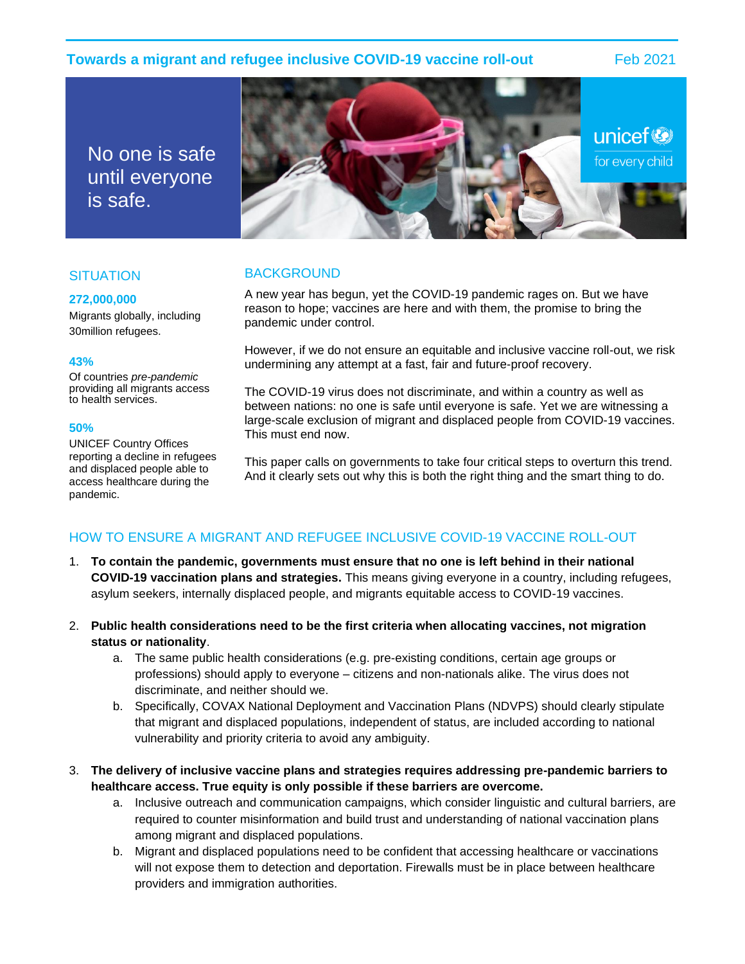# **Towards a migrant and refugee inclusive COVID-19 vaccine roll-out** Feb 2021

No one is safe until everyone is safe.



# **SITUATION**

### **272,000,000**

Migrants globally, including 30million refugees.

### **43%**

Of countries *pre-pandemic* providing all migrants access to health services.

#### **50%**

UNICEF Country Offices reporting a decline in refugees and displaced people able to access healthcare during the pandemic.

# **BACKGROUND**

A new year has begun, yet the COVID-19 pandemic rages on. But we have reason to hope; vaccines are here and with them, the promise to bring the pandemic under control.

However, if we do not ensure an equitable and inclusive vaccine roll-out, we risk undermining any attempt at a fast, fair and future-proof recovery.

The COVID-19 virus does not discriminate, and within a country as well as between nations: no one is safe until everyone is safe. Yet we are witnessing a large-scale exclusion of migrant and displaced people from COVID-19 vaccines. This must end now.

This paper calls on governments to take four critical steps to overturn this trend. And it clearly sets out why this is both the right thing and the smart thing to do.

# HOW TO ENSURE A MIGRANT AND REFUGEE INCLUSIVE COVID-19 VACCINE ROLL-OUT

- 1. **To contain the pandemic, governments must ensure that no one is left behind in their national COVID-19 vaccination plans and strategies.** This means giving everyone in a country, including refugees, asylum seekers, internally displaced people, and migrants equitable access to COVID-19 vaccines.
- 2. **Public health considerations need to be the first criteria when allocating vaccines, not migration status or nationality**.
	- a. The same public health considerations (e.g. pre-existing conditions, certain age groups or professions) should apply to everyone – citizens and non-nationals alike. The virus does not discriminate, and neither should we.
	- b. Specifically, COVAX National Deployment and Vaccination Plans (NDVPS) should clearly stipulate that migrant and displaced populations, independent of status, are included according to national vulnerability and priority criteria to avoid any ambiguity.
- 3. **The delivery of inclusive vaccine plans and strategies requires addressing pre-pandemic barriers to healthcare access. True equity is only possible if these barriers are overcome.**
	- a. Inclusive outreach and communication campaigns, which consider linguistic and cultural barriers, are required to counter misinformation and build trust and understanding of national vaccination plans among migrant and displaced populations.
	- b. Migrant and displaced populations need to be confident that accessing healthcare or vaccinations will not expose them to detection and deportation. Firewalls must be in place between healthcare providers and immigration authorities.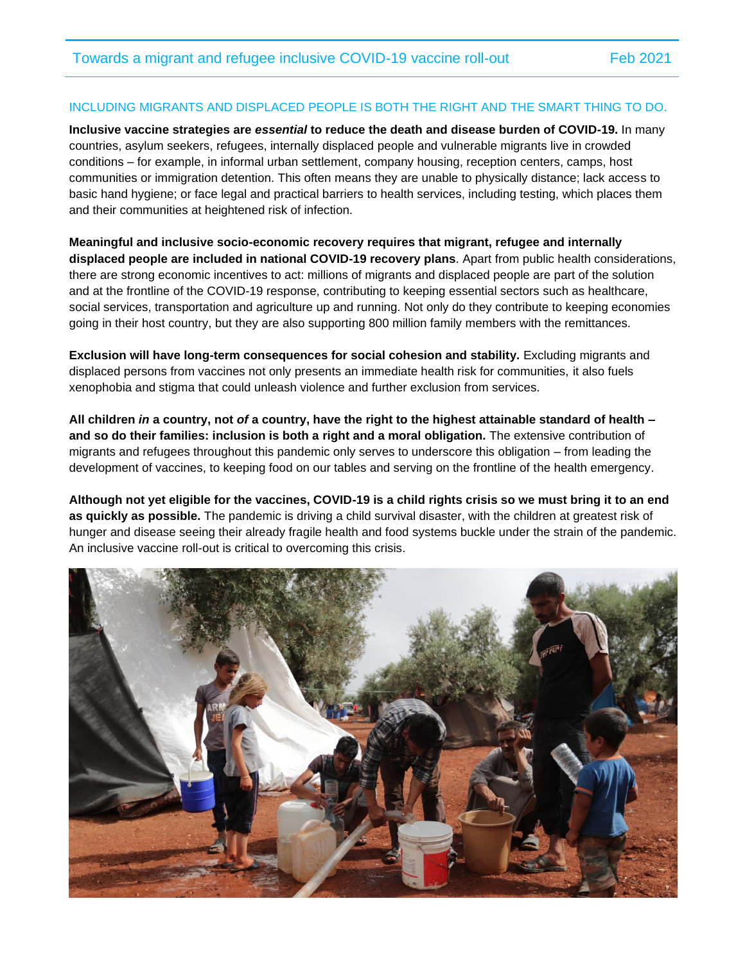## INCLUDING MIGRANTS AND DISPLACED PEOPLE IS BOTH THE RIGHT AND THE SMART THING TO DO.

**Inclusive vaccine strategies are** *essential* **to reduce the death and disease burden of COVID-19.** In many countries, asylum seekers, refugees, internally displaced people and vulnerable migrants live in crowded conditions – for example, in informal urban settlement, company housing, reception centers, camps, host communities or immigration detention. This often means they are unable to physically distance; lack access to basic hand hygiene; or face legal and practical barriers to health services, including testing, which places them and their communities at heightened risk of infection.

**Meaningful and inclusive socio-economic recovery requires that migrant, refugee and internally displaced people are included in national COVID-19 recovery plans**. Apart from public health considerations, there are strong economic incentives to act: millions of migrants and displaced people are part of the solution and at the frontline of the COVID-19 response, contributing to keeping essential sectors such as healthcare, social services, transportation and agriculture up and running. Not only do they contribute to keeping economies going in their host country, but they are also supporting 800 million family members with the remittances.

**Exclusion will have long-term consequences for social cohesion and stability.** Excluding migrants and displaced persons from vaccines not only presents an immediate health risk for communities, it also fuels xenophobia and stigma that could unleash violence and further exclusion from services.

**All children** *in* **a country, not** *of* **a country, have the right to the highest attainable standard of health – and so do their families: inclusion is both a right and a moral obligation.** The extensive contribution of migrants and refugees throughout this pandemic only serves to underscore this obligation – from leading the development of vaccines, to keeping food on our tables and serving on the frontline of the health emergency.

**Although not yet eligible for the vaccines, COVID-19 is a child rights crisis so we must bring it to an end as quickly as possible.** The pandemic is driving a child survival disaster, with the children at greatest risk of hunger and disease seeing their already fragile health and food systems buckle under the strain of the pandemic. An inclusive vaccine roll-out is critical to overcoming this crisis.